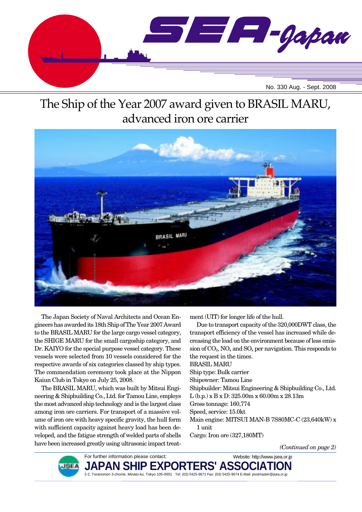

# The Ship of the Year 2007 award given to BRASIL MARU, advanced iron ore carrier



The Japan Society of Naval Architects and Ocean Engineers has awarded its 18th Ship of The Year 2007 Award to the BRASIL MARU for the large cargo vessel category, the SHIGE MARU for the small cargoship category, and Dr. KAIYO for the special purpose vessel category. These vessels were selected from 10 vessels considered for the respective awards of six categories classed by ship types. The commendation ceremony took place at the Nippon Kaiun Club in Tokyo on July 25, 2008.

The BRASIL MARU, which was built by Mitsui Engineering & Shipbuilding Co., Ltd. for Tamou Line, employs the most advanced ship technology and is the largest class among iron ore carriers. For transport of a massive volume of iron ore with heavy specific gravity, the hull form with sufficient capacity against heavy load has been developed, and the fatigue strength of welded parts of shells have been increased greatly using ultrasonic impact treatment (UIT) for longer life of the hull.

Due to transport capacity of the 320,000DWT class, the transport efficiency of the vessel has increased while decreasing the load on the environment because of less emission of  $CO_2$ , NO<sub>x</sub> and SO<sub>x</sub> per navigation. This responds to the request in the times. BRASIL MARU Ship type: Bulk carrier Shipowner: Tamou Line Shipbuilder: Mitsui Engineering & Shipbuilding Co., Ltd. L (b.p.) x B x D: 325.00m x 60.00m x 28.13m Gross tonnage: 160,774 Speed, service: 15.0kt Main engine: MITSUI MAN-B 7S80MC-C (23,640kW) x 1 unit

Cargo: Iron ore (327,180MT)

*(Continued on page 2)*



For further information please contact: **JAPAN SHIP EXPORTERS' ASSOCIATION** 2-2, Toranomon 3-chome, Minato-ku, Tokyo 105-0001 Tel: (03) 5425-9671 Fax: (03) 5425-9674 E-Mail: postmaster@jsea.or.jp Website: http://www.jsea.or.jp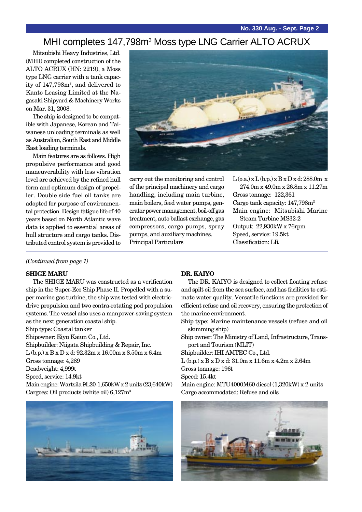#### MHI completes 147,798m<sup>3</sup> Moss type LNG Carrier ALTO ACRUX

Mitsubishi Heavy Industries, Ltd. (MHI) completed construction of the ALTO ACRUX (HN: 2219), a Moss type LNG carrier with a tank capacity of 147,798m3 , and delivered to Kanto Leasing Limited at the Nagasaki Shipyard & Machinery Works on Mar. 31, 2008.

The ship is designed to be compatible with Japanese, Korean and Taiwanese unloading terminals as well as Australian, South East and Middle East loading terminals.

Main features are as follows. High propulsive performance and good maneuverability with less vibration level are achieved by the refined hull form and optimum design of propeller. Double side fuel oil tanks are adopted for purpose of environmental protection. Design fatigue life of 40 years based on North Atlantic wave data is applied to essential areas of hull structure and cargo tanks. Distributed control system is provided to



carry out the monitoring and control of the principal machinery and cargo handling, including main turbine, main boilers, feed water pumps, generator power management, boil-off gas treatment, auto ballast exchange, gas compressors, cargo pumps, spray pumps, and auxiliary machines. Principal Particulars

 $L$  (o.a.) x  $L$  (b.p.) x  $B$  x  $D$  x d: 288.0m x 274.0m x 49.0m x 26.8m x 11.27m Gross tonnage: 122,361 Cargo tank capacity:  $147,798m<sup>3</sup>$ Main engine: Mitsubishi Marine Steam Turbine MS32-2 Output: 22,930kW x 76rpm Speed, service: 19.5kt Classification: LR

#### *(Continued from page 1)*

#### **SHIGE MARU**

The SHIGE MARU was constructed as a verification ship in the Super-Eco Ship Phase II. Propelled with a super marine gas turbine, the ship was tested with electricdrive propulsion and two contra-rotating pod propulsion systems. The vessel also uses a manpower-saving system as the next generation coastal ship.

Ship type: Coastal tanker

Shipowner: Eiyu Kaiun Co., Ltd.

Shipbuilder: Niigata Shipbuilding & Repair, Inc.

L (b.p.) x B x D x d: 92.32m x 16.00m x 8.50m x 6.4m

Gross tonnage: 4,289

Deadweight: 4,999t

Speed, service: 14.9kt

Main engine: Wartsila 9L20-1,650kW x 2 units (23,640kW) Cargoes: Oil products (white oil) 6,127m3



#### **DR. KAIYO**

The DR. KAIYO is designed to collect floating refuse and spilt oil from the sea surface, and has facilities to estimate water quality. Versatile functions are provided for efficient refuse and oil recovery, ensuring the protection of the marine environment.

Ship type: Marine maintenance vessels (refuse and oil skimming ship)

Ship owner: The Ministry of Land, Infrastructure, Transport and Tourism (MLIT)

Shipbuilder: IHI AMTEC Co., Ltd.

L (b.p.) x B x D x d: 31.0m x 11.6m x 4.2m x 2.64m Gross tonnage: 196t

Speed: 15.4kt

Main engine: MTU4000M60 diesel (1,320kW) x 2 units

Cargo accommodated: Refuse and oils

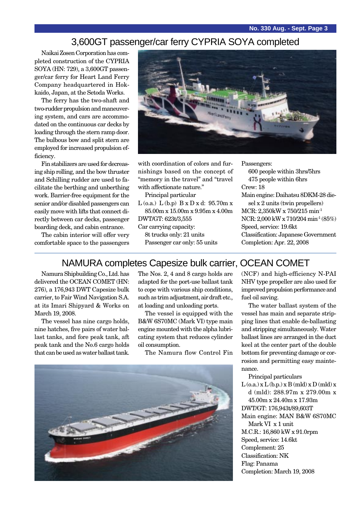### 3,600GT passenger/car ferry CYPRIA SOYA completed

Naikai Zosen Corporation has completed construction of the CYPRIA SOYA (HN: 729), a 3,600GT passenger/car ferry for Heart Land Ferry Company headquartered in Hokkaido, Japan, at the Setoda Works.

The ferry has the two-shaft and two-rudder propulsion and maneuvering system, and cars are accommodated on the continuous car decks by loading through the stern ramp door. The bulbous bow and split stern are employed for increased propulsion efficiency.

Fin stabilizers are used for decreasing ship rolling, and the bow thruster and Schilling rudder are used to facilitate the berthing and unberthing work. Barrier-free equipment for the senior and/or disabled passengers can easily move with lifts that connect directly between car decks, passenger boarding deck, and cabin entrance.

The cabin interior will offer very comfortable space to the passengers



with coordination of colors and furnishings based on the concept of "memory in the travel" and "travel with affectionate nature."

Principal particular

L (o.a.)  $L (b.p)$   $B x D x d: 95.70 m x$ 85.00m x 15.00m x 9.95m x 4.00m DWT/GT: 623t/3,555

Car carrying capacity:

8t trucks only: 21 units

Passenger car only: 55 units

Passengers: 600 people within 3hrs/5hrs 475 people within 6hrs Crew: 18 Main engine: Daihatsu 8DKM-28 diesel x 2 units (twin propellers) MCR: 2,350kW x 750/215 min-1 NCR: 2,000 kW x 710/204 min-1 (85%) Speed, service: 19.6kt Classification: Japanese Government Completion: Apr. 22, 2008

#### NAMURA completes Capesize bulk carrier, OCEAN COMET

Namura Shipbuilding Co., Ltd. has delivered the OCEAN COMET (HN: 276), a 176,943 DWT Capesize bulk carrier, to Fair Wind Navigation S.A. at its Imari Shipyard & Works on March 19, 2008.

The vessel has nine cargo holds, nine hatches, five pairs of water ballast tanks, and fore peak tank, aft peak tank and the No.6 cargo holds that can be used as water ballast tank. The Nos. 2, 4 and 8 cargo holds are adapted for the port-use ballast tank to cope with various ship conditions, such as trim adjustment, air draft etc., at loading and unloading ports.

The vessel is equipped with the B&W 6S70MC (Mark VI) type main engine mounted with the alpha lubricating system that reduces cylinder oil consumption.

The Namura flow Control Fin



(NCF) and high-efficiency N-PAI NHV type propeller are also used for improved propulsion performance and fuel oil saving.

The water ballast system of the vessel has main and separate stripping lines that enable de-ballasting and stripping simultaneously. Water ballast lines are arranged in the duct keel at the center part of the double bottom for preventing damage or corrosion and permitting easy maintenance.

Principal particulars  $L$  (o.a.) x  $L$  (b.p.) x  $B$  (mld) x  $D$  (mld) x d (mld): 288.97m x 279.00m x 45.00m x 24.40m x 17.93m DWT/GT: 176,943t/89,603T Main engine: MAN B&W 6S70MC Mark VI x 1 unit M.C.R.: 16,860 kW x 91.0rpm Speed, service: 14.6kt Complement: 25 Classification: NK Flag: Panama Completion: March 19, 2008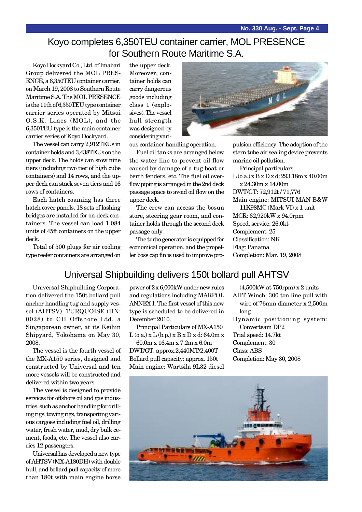### Koyo completes 6,350TEU container carrier, MOL PRESENCE for Southern Route Maritime S.A.

Koyo Dockyard Co., Ltd. of Imabari Group delivered the MOL PRES-ENCE, a 6,350TEU container carrier, on March 19, 2008 to Southern Route Maritime S.A. The MOL PRESENCE is the 11th of 6,350TEU type container carrier series operated by Mitsui O.S.K. Lines (MOL), and the 6,350TEU type is the main container carrier series of Koyo Dockyard.

The vessel can carry 2,912TEUs in container holds and 3,438TEUs on the upper deck. The holds can stow nine tiers (including two tier of high cube containers) and 14 rows, and the upper deck can stack seven tiers and 16 rows of containers.

Each hatch coaming has three hatch cover panels. 18 sets of lashing bridges are installed for on-deck containers. The vessel can load 1,084 units of 45ft containers on the upper deck.

Total of 500 plugs for air cooling type reefer containers are arranged on

the upper deck. Moreover, container holds can carry dangerous goods including class 1 (explosives). The vessel hull strength was designed by considering vari-



ous container handling operation.

Fuel oil tanks are arranged below the water line to prevent oil flow caused by damage of a tug boat or berth fenders, etc. The fuel oil overflow piping is arranged in the 2nd deck passage space to avoid oil flow on the upper deck.

The crew can access the bosun store, steering gear room, and container holds through the second deck passage only.

The turbo generator is equipped for economical operation, and the propeller boss cap fin is used to improve pro-

pulsion efficiency. The adoption of the stern tube air sealing device prevents marine oil pollution.

Principal particulars  $L$  (o.a.) x  $B \times D \times d$ : 293.18m x 40.00m x 24.30m x 14.00m DWT/GT: 72,912t / 71,776 Main engine: MITSUI MAN B&W 11K98MC (Mark VI) x 1 unit MCR: 62,920kW x 94.0rpm Speed, service: 26.0kt Complement: 25 Classification: NK Flag: Panama Completion: Mar. 19, 2008

#### Universal Shipbuilding delivers 150t bollard pull AHTSV

Universal Shipbuilding Corporation delivered the 150t bollard pull anchor handling tug and supply vessel (AHTSV), TURQUOISE (HN: 0028) to CH Offshore Ltd, a Singaporean owner, at its Keihin Shipyard, Yokohama on May 30, 2008.

The vessel is the fourth vessel of the MX-A150 series, designed and constructed by Universal and ten more vessels will be constructed and delivered within two years.

The vessel is designed to provide services for offshore oil and gas industries, such as anchor handling for drilling rigs, towing rigs, transporting various cargoes including fuel oil, drilling water, fresh water, mud, dry bulk cement, foods, etc. The vessel also carries 12 passengers.

Universal has developed a new type of AHTSV (MX-A180DH) with double hull, and bollard pull capacity of more than 180t with main engine horse power of 2 x 6,000kW under new rules and regulations including MARPOL ANNEX I. The first vessel of this new type is scheduled to be delivered in December 2010.

Principal Particulars of MX-A150 L (o.a.) x L (b.p.) x B x D x d: 64.0m x

60.0m x 16.4m x 7.2m x 6.0m DWT/GT: approx.2,440MT/2,400T Bollard pull capacity: approx. 150t Main engine: Wartsila 9L32 diesel

- (4,500kW at 750rpm) x 2 units
- AHT Winch: 300 ton line pull with wire of 76mm diameter x 2,500m long
- Dynamic positioning system: Converteam DP2

Trial speed: 14.7kt Complement: 30 Class: ABS Completion: May 30, 2008

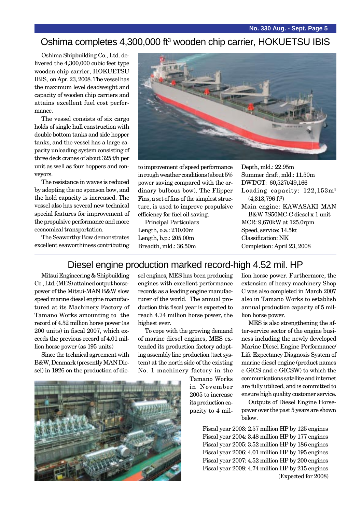#### Oshima completes 4,300,000 ft<sup>3</sup> wooden chip carrier, HOKUETSU IBIS

Oshima Shipbuilding Co., Ltd. delivered the 4,300,000 cubic feet type wooden chip carrier, HOKUETSU IBIS, on Apr. 23, 2008. The vessel has the maximum level deadweight and capacity of wooden chip carriers and attains excellent fuel cost performance.

The vessel consists of six cargo holds of single hull construction with double bottom tanks and side hopper tanks, and the vessel has a large capacity unloading system consisting of three deck cranes of about 325 t/h per unit as well as four hoppers and conveyors.

The resistance in waves is reduced by adopting the no sponson bow, and the hold capacity is increased. The vessel also has several new technical special features for improvement of the propulsive performance and more economical transportation.

The Seaworthy Bow demonstrates excellent seaworthiness contributing



to improvement of speed performance in rough weather conditions (about 5% power saving compared with the ordinary bulbous bow). The Flipper Fins, a set of fins of the simplest structure, is used to improve propulsive efficiency for fuel oil saving.

Principal Particulars Length, o.a.: 210.00m Length, b.p.: 205.00m Breadth, mld.: 36.50m

Depth, mld.: 22.95m Summer draft, mld.: 11.50m DWT/GT: 60,527t/49,166 Loading capacity:  $122.153m<sup>3</sup>$  $(4,313,796$  ft $^3)$ Main engine: KAWASAKI MAN B&W 7S50MC-C diesel x 1 unit MCR: 9,670kW at 125.0rpm Speed, service: 14.5kt Classification: NK Completion: April 23, 2008

### Diesel engine production marked record-high 4.52 mil. HP

Mitsui Engineering & Shipbuilding Co., Ltd. (MES) attained output horsepower of the Mitsui-MAN B&W slow speed marine diesel engine manufactured at its Machinery Factory of Tamano Works amounting to the record of 4.52 million horse power (as 200 units) in fiscal 2007, which exceeds the previous record of 4.01 million horse power (as 195 units)

Since the technical agreement with B&W, Denmark (presently MAN Diesel) in 1926 on the production of diesel engines, MES has been producing engines with excellent performance records as a leading engine manufacturer of the world. The annual production this fiscal year is expected to reach 4.74 million horse power, the highest ever.

To cope with the growing demand of marine diesel engines, MES extended its production factory adopting assembly line production (tact system) at the north side of the existing No. 1 machinery factory in the

> Tamano Works in November 2005 to increase its production capacity to 4 mil-

extension of heavy machinery Shop C was also completed in March 2007 also in Tamano Works to establish annual production capacity of 5 million horse power. MES is also strengthening the af-

lion horse power. Furthermore, the

ter-service sector of the engine business including the newly developed Marine Diesel Engine Performance/ Life Expectancy Diagnosis System of marine diesel engine (product names e-GICS and e-GICSW) to which the communications satellite and internet are fully utilized, and is committed to ensure high quality customer service.

Outputs of Diesel Engine Horsepower over the past 5 years are shown below.

Fiscal year 2003: 2.57 million HP by 125 engines Fiscal year 2004: 3.48 million HP by 177 engines Fiscal year 2005: 3.52 million HP by 186 engines Fiscal year 2006: 4.01 million HP by 195 engines Fiscal year 2007: 4.52 million HP by 200 engines Fiscal year 2008: 4.74 million HP by 215 engines (Expected for 2008)